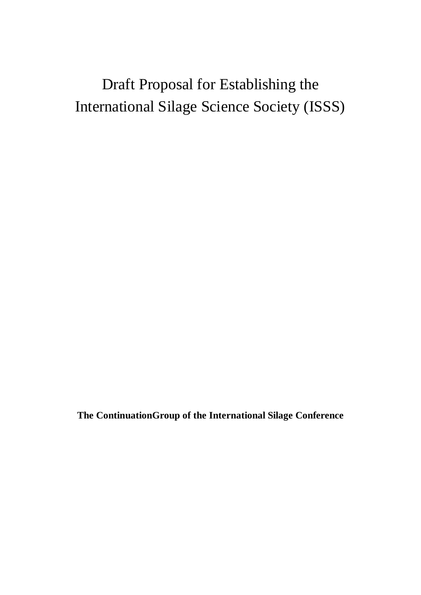# Draft Proposal for Establishing the International Silage Science Society (ISSS)

**The ContinuationGroup of the International Silage Conference**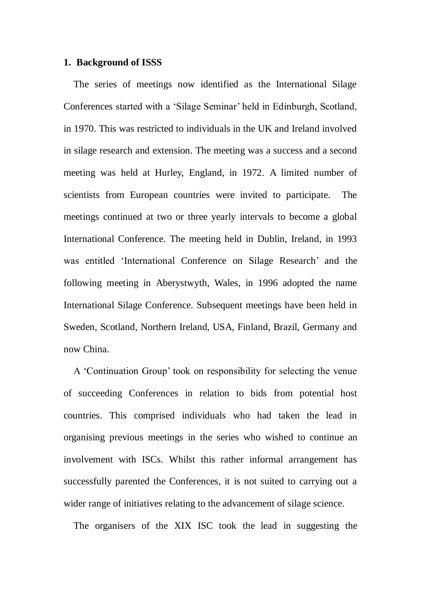#### **1. Background of ISSS**

The series of meetings now identified as the International Silage Conferences started with a 'Silage Seminar' held in Edinburgh, Scotland, in 1970. This was restricted to individuals in the UK and Ireland involved in silage research and extension. The meeting was a success and a second meeting was held at Hurley, England, in 1972. A limited number of scientists from European countries were invited to participate. The meetings continued at two or three yearly intervals to become a global International Conference. The meeting held in Dublin, Ireland, in 1993 was entitled 'International Conference on Silage Research' and the following meeting in Aberystwyth, Wales, in 1996 adopted the name International Silage Conference. Subsequent meetings have been held in Sweden, Scotland, Northern Ireland, USA, Finland, Brazil, Germany and now China.

A 'Continuation Group' took on responsibility for selecting the venue of succeeding Conferences in relation to bids from potential host countries. This comprised individuals who had taken the lead in organising previous meetings in the series who wished to continue an involvement with ISCs. Whilst this rather informal arrangement has successfully parented the Conferences, it is not suited to carrying out a wider range of initiatives relating to the advancement of silage science.

The organisers of the XIX ISC took the lead in suggesting the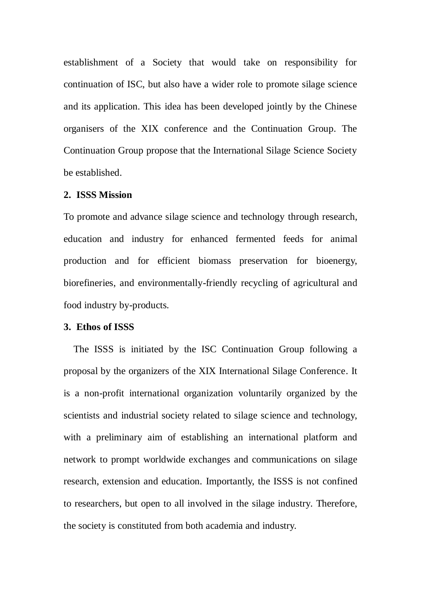establishment of a Society that would take on responsibility for continuation of ISC, but also have a wider role to promote silage science and its application. This idea has been developed jointly by the Chinese organisers of the XIX conference and the Continuation Group. The Continuation Group propose that the International Silage Science Society be established.

#### **2. ISSS Mission**

To promote and advance silage science and technology through research, education and industry for enhanced fermented feeds for animal production and for efficient biomass preservation for bioenergy, [biorefineries,](javascript:;) and environmentally-friendly recycling of agricultural and food industry by-products.

#### **3. Ethos of ISSS**

The ISSS is initiated by the ISC Continuation Group following a proposal by the organizers of the XIX International Silage Conference. It is a non-profit international organization voluntarily organized by the scientists and industrial society related to silage science and technology, with a preliminary aim of establishing an international platform and network to prompt worldwide exchanges and communications on silage research, extension and education. Importantly, the ISSS is not confined to researchers, but open to all involved in the silage industry. Therefore, the society is constituted from both academia and industry.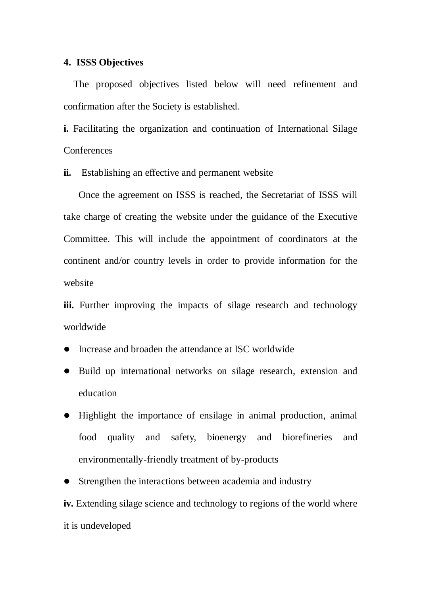#### **4. ISSS Objectives**

The proposed objectives listed below will need refinement and confirmation after the Society is established.

**i.** Facilitating the organization and continuation of International Silage **Conferences** 

**ii.** Establishing an effective and permanent website

Once the agreement on ISSS is reached, the Secretariat of ISSS will take charge of creating the website under the guidance of the Executive Committee. This will include the appointment of coordinators at the continent and/or country levels in order to provide information for the website

**iii.** Further improving the impacts of silage research and technology worldwide

- Increase and broaden the attendance at ISC worldwide
- Build up international networks on silage research, extension and education
- Highlight the importance of ensilage in animal production, animal food quality and safety, bioenergy and biorefineries and environmentally-friendly treatment of by-products
- Strengthen the interactions between academia and industry

**iv.** Extending silage science and technology to regions of the world where it is undeveloped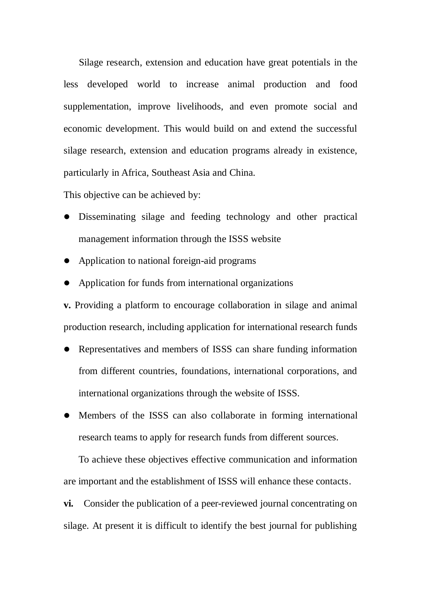Silage research, extension and education have great potentials in the less developed world to increase animal production and food supplementation, improve livelihoods, and even promote social and economic development. This would build on and extend the successful silage research, extension and education programs already in existence, particularly in Africa, Southeast Asia and China.

This objective can be achieved by:

- Disseminating silage and feeding technology and other practical management information through the ISSS website
- Application to national foreign-aid programs
- Application for funds from international organizations

**v.** Providing a platform to encourage collaboration in silage and animal production research, including application for international research funds

- Representatives and members of ISSS can share funding information from different countries, foundations, international corporations, and international organizations through the website of ISSS.
- Members of the ISSS can also collaborate in forming international research teams to apply for research funds from different sources.

To achieve these objectives effective communication and information are important and the establishment of ISSS will enhance these contacts.

**vi.** Consider the publication of a peer-reviewed journal concentrating on silage. At present it is difficult to identify the best journal for publishing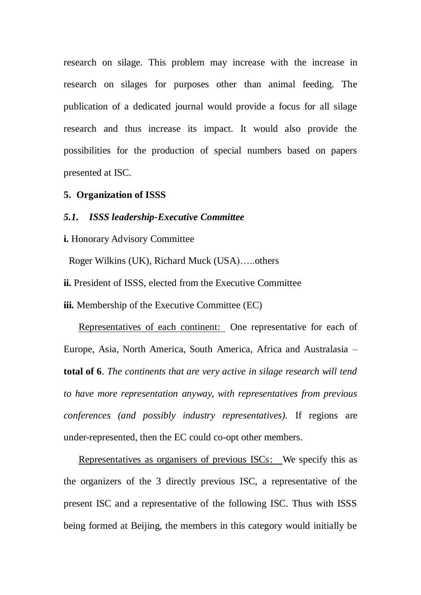research on silage. This problem may increase with the increase in research on silages for purposes other than animal feeding. The publication of a dedicated journal would provide a focus for all silage research and thus increase its impact. It would also provide the possibilities for the production of special numbers based on papers presented at ISC.

#### **5. Organization of ISSS**

#### *5.1. ISSS leadership-Executive Committee*

**i.** Honorary Advisory Committee

Roger Wilkins (UK), Richard Muck (USA)…..others

**ii.** President of ISSS, elected from the Executive Committee

**iii.** Membership of the Executive Committee (EC)

Representatives of each continent: One representative for each of Europe, Asia, North America, South America, Africa and Australasia – **total of 6**. *The continents that are very active in silage research will tend to have more representation anyway, with representatives from previous conferences (and possibly industry representatives).* If regions are under-represented, then the EC could co-opt other members.

Representatives as organisers of previous ISCs: We specify this as the organizers of the 3 directly previous ISC, a representative of the present ISC and a representative of the following ISC. Thus with ISSS being formed at Beijing, the members in this category would initially be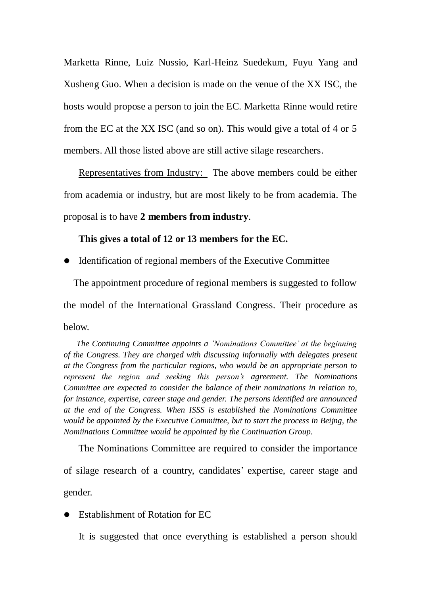Marketta Rinne, Luiz Nussio, Karl-Heinz Suedekum, Fuyu Yang and Xusheng Guo. When a decision is made on the venue of the XX ISC, the hosts would propose a person to join the EC. Marketta Rinne would retire from the EC at the XX ISC (and so on). This would give a total of 4 or 5 members. All those listed above are still active silage researchers.

Representatives from Industry: The above members could be either from academia or industry, but are most likely to be from academia. The proposal is to have **2 members from industry**.

# **This gives a total of 12 or 13 members for the EC.**

• Identification of regional members of the Executive Committee

The appointment procedure of regional members is suggested to follow the model of the International Grassland Congress. Their procedure as below.

*The Continuing Committee appoints a 'Nominations Committee' at the beginning of the Congress. They are charged with discussing informally with delegates present at the Congress from the particular regions, who would be an appropriate person to represent the region and seeking this person's agreement. The Nominations Committee are expected to consider the balance of their nominations in relation to, for instance, expertise, career stage and gender. The persons identified are announced at the end of the Congress. When ISSS is established the Nominations Committee would be appointed by the Executive Committee, but to start the process in Beijng, the Nomiinations Committee would be appointed by the Continuation Group.*

The Nominations Committee are required to consider the importance of silage research of a country, candidates' expertise, career stage and gender.

Establishment of Rotation for EC

It is suggested that once everything is established a person should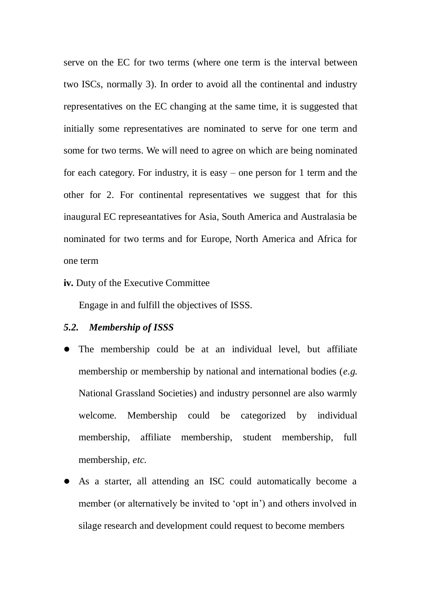serve on the EC for two terms (where one term is the interval between two ISCs, normally 3). In order to avoid all the continental and industry representatives on the EC changing at the same time, it is suggested that initially some representatives are nominated to serve for one term and some for two terms. We will need to agree on which are being nominated for each category. For industry, it is easy – one person for 1 term and the other for 2. For continental representatives we suggest that for this inaugural EC represeantatives for Asia, South America and Australasia be nominated for two terms and for Europe, North America and Africa for one term

**iv.** Duty of the Executive Committee

Engage in and fulfill the objectives of ISSS.

# *5.2. Membership of ISSS*

- The membership could be at an individual level, but affiliate membership or membership by national and international bodies (*e.g.* National Grassland Societies) and industry personnel are also warmly welcome. Membership could be categorized by individual membership, affiliate membership, student membership, full membership, *etc.*
- As a starter, all attending an ISC could automatically become a member (or alternatively be invited to 'opt in') and others involved in silage research and development could request to become members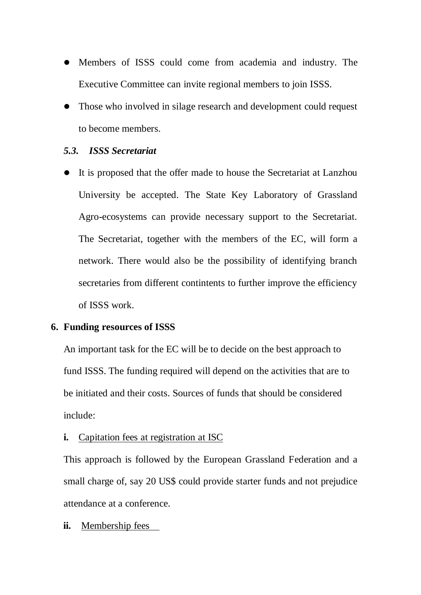- Members of ISSS could come from academia and industry. The Executive Committee can invite regional members to join ISSS.
- Those who involved in silage research and development could request to become members.

# *5.3. ISSS Secretariat*

 It is proposed that the offer made to house the Secretariat at Lanzhou University be accepted. The State Key Laboratory of Grassland Agro-ecosystems can provide necessary support to the Secretariat. The Secretariat, together with the members of the EC, will form a network. There would also be the possibility of identifying branch secretaries from different contintents to further improve the efficiency of ISSS work.

### **6. Funding resources of ISSS**

An important task for the EC will be to decide on the best approach to fund ISSS. The funding required will depend on the activities that are to be initiated and their costs. Sources of funds that should be considered include:

# **i.** Capitation fees at registration at ISC

This approach is followed by the European Grassland Federation and a small charge of, say 20 US\$ could provide starter funds and not prejudice attendance at a conference.

### **ii.** Membership fees